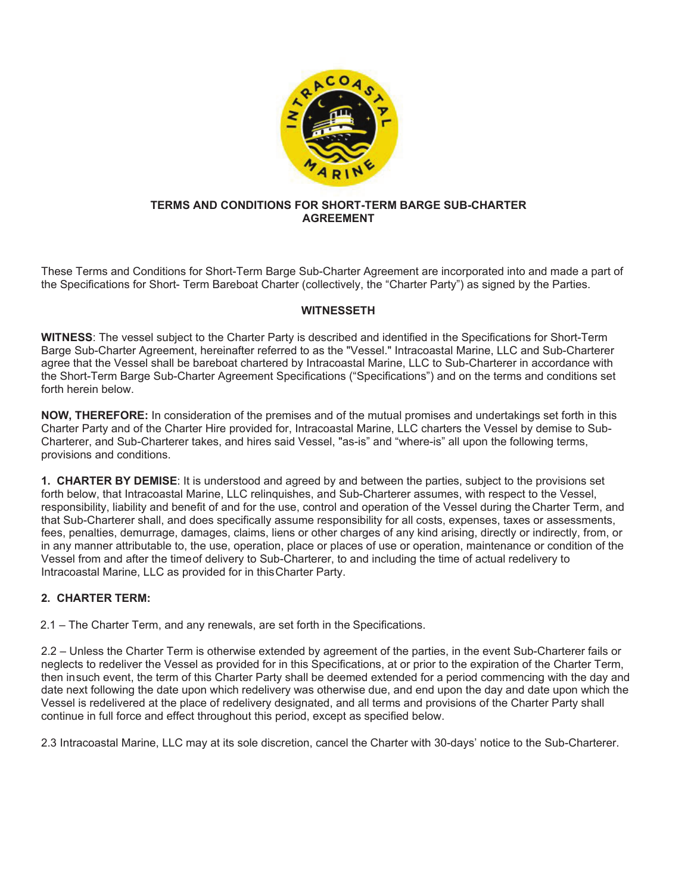

#### **TERMS AND CONDITIONS FOR SHORT-TERM BARGE SUB-CHARTER AGREEMENT**

These Terms and Conditions for Short-Term Barge Sub-Charter Agreement are incorporated into and made a part of the Specifications for Short- Term Bareboat Charter (collectively, the "Charter Party") as signed by the Parties.

# **WITNESSETH**

**WITNESS**: The vessel subject to the Charter Party is described and identified in the Specifications for Short-Term Barge Sub-Charter Agreement, hereinafter referred to as the "Vessel." Intracoastal Marine, LLC and Sub-Charterer agree that the Vessel shall be bareboat chartered by Intracoastal Marine, LLC to Sub-Charterer in accordance with the Short-Term Barge Sub-Charter Agreement Specifications ("Specifications") and on the terms and conditions set forth herein below.

**NOW, THEREFORE:** In consideration of the premises and of the mutual promises and undertakings set forth in this Charter Party and of the Charter Hire provided for, Intracoastal Marine, LLC charters the Vessel by demise to Sub-Charterer, and Sub-Charterer takes, and hires said Vessel, "as-is" and "where-is" all upon the following terms, provisions and conditions.

**1. CHARTER BY DEMISE**: It is understood and agreed by and between the parties, subject to the provisions set forth below, that Intracoastal Marine, LLC relinquishes, and Sub-Charterer assumes, with respect to the Vessel, responsibility, liability and benefit of and for the use, control and operation of the Vessel during the Charter Term, and that Sub-Charterer shall, and does specifically assume responsibility for all costs, expenses, taxes or assessments, fees, penalties, demurrage, damages, claims, liens or other charges of any kind arising, directly or indirectly, from, or in any manner attributable to, the use, operation, place or places of use or operation, maintenance or condition of the Vessel from and after the time of delivery to Sub-Charterer, to and including the time of actual redelivery to Intracoastal Marine, LLC as provided for in this Charter Party.

# **2. CHARTER TERM:**

2.1 – The Charter Term, and any renewals, are set forth in the Specifications.

2.2 – Unless the Charter Term is otherwise extended by agreement of the parties, in the event Sub-Charterer fails or neglects to redeliver the Vessel as provided for in this Specifications, at or prior to the expiration of the Charter Term, then in such event, the term of this Charter Party shall be deemed extended for a period commencing with the day and date next following the date upon which redelivery was otherwise due, and end upon the day and date upon which the Vessel is redelivered at the place of redelivery designated, and all terms and provisions of the Charter Party shall continue in full force and effect throughout this period, except as specified below.

2.3 Intracoastal Marine, LLC may at its sole discretion, cancel the Charter with 30-days' notice to the Sub-Charterer.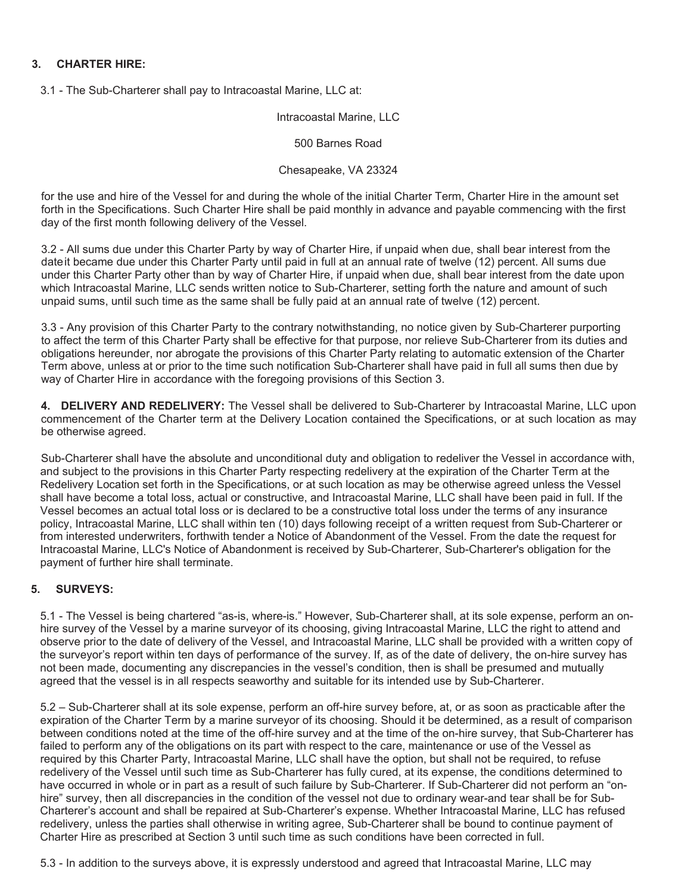# **3. CHARTER HIRE:**

3.1 - The Sub-Charterer shall pay to Intracoastal Marine, LLC at:

Intracoastal Marine, LLC

500 Barnes Road

#### Chesapeake, VA 23324

for the use and hire of the Vessel for and during the whole of the initial Charter Term, Charter Hire in the amount set forth in the Specifications. Such Charter Hire shall be paid monthly in advance and payable commencing with the first day of the first month following delivery of the Vessel.

3.2 - All sums due under this Charter Party by way of Charter Hire, if unpaid when due, shall bear interest from the date it became due under this Charter Party until paid in full at an annual rate of twelve (12) percent. All sums due under this Charter Party other than by way of Charter Hire, if unpaid when due, shall bear interest from the date upon which Intracoastal Marine, LLC sends written notice to Sub-Charterer, setting forth the nature and amount of such unpaid sums, until such time as the same shall be fully paid at an annual rate of twelve (12) percent.

3.3 - Any provision of this Charter Party to the contrary notwithstanding, no notice given by Sub-Charterer purporting to affect the term of this Charter Party shall be effective for that purpose, nor relieve Sub-Charterer from its duties and obligations hereunder, nor abrogate the provisions of this Charter Party relating to automatic extension of the Charter Term above, unless at or prior to the time such notification Sub-Charterer shall have paid in full all sums then due by way of Charter Hire in accordance with the foregoing provisions of this Section 3.

**4. DELIVERY AND REDELIVERY:** The Vessel shall be delivered to Sub-Charterer by Intracoastal Marine, LLC upon commencement of the Charter term at the Delivery Location contained the Specifications, or at such location as may be otherwise agreed.

Sub-Charterer shall have the absolute and unconditional duty and obligation to redeliver the Vessel in accordance with, and subject to the provisions in this Charter Party respecting redelivery at the expiration of the Charter Term at the Redelivery Location set forth in the Specifications, or at such location as may be otherwise agreed unless the Vessel shall have become a total loss, actual or constructive, and Intracoastal Marine, LLC shall have been paid in full. If the Vessel becomes an actual total loss or is declared to be a constructive total loss under the terms of any insurance policy, Intracoastal Marine, LLC shall within ten (10) days following receipt of a written request from Sub-Charterer or from interested underwriters, forthwith tender a Notice of Abandonment of the Vessel. From the date the request for Intracoastal Marine, LLC's Notice of Abandonment is received by Sub-Charterer, Sub-Charterer's obligation for the payment of further hire shall terminate.

# **5. SURVEYS:**

5.1 - The Vessel is being chartered "as-is, where-is." However, Sub-Charterer shall, at its sole expense, perform an onhire survey of the Vessel by a marine surveyor of its choosing, giving Intracoastal Marine, LLC the right to attend and observe prior to the date of delivery of the Vessel, and Intracoastal Marine, LLC shall be provided with a written copy of the surveyor's report within ten days of performance of the survey. If, as of the date of delivery, the on-hire survey has not been made, documenting any discrepancies in the vessel's condition, then is shall be presumed and mutually agreed that the vessel is in all respects seaworthy and suitable for its intended use by Sub-Charterer.

5.2 – Sub-Charterer shall at its sole expense, perform an off-hire survey before, at, or as soon as practicable after the expiration of the Charter Term by a marine surveyor of its choosing. Should it be determined, as a result of comparison between conditions noted at the time of the off-hire survey and at the time of the on-hire survey, that Sub-Charterer has failed to perform any of the obligations on its part with respect to the care, maintenance or use of the Vessel as required by this Charter Party, Intracoastal Marine, LLC shall have the option, but shall not be required, to refuse redelivery of the Vessel until such time as Sub-Charterer has fully cured, at its expense, the conditions determined to have occurred in whole or in part as a result of such failure by Sub-Charterer. If Sub-Charterer did not perform an "onhire" survey, then all discrepancies in the condition of the vessel not due to ordinary wear-and tear shall be for Sub-Charterer's account and shall be repaired at Sub-Charterer's expense. Whether Intracoastal Marine, LLC has refused redelivery, unless the parties shall otherwise in writing agree, Sub-Charterer shall be bound to continue payment of Charter Hire as prescribed at Section 3 until such time as such conditions have been corrected in full.

5.3 - In addition to the surveys above, it is expressly understood and agreed that Intracoastal Marine, LLC may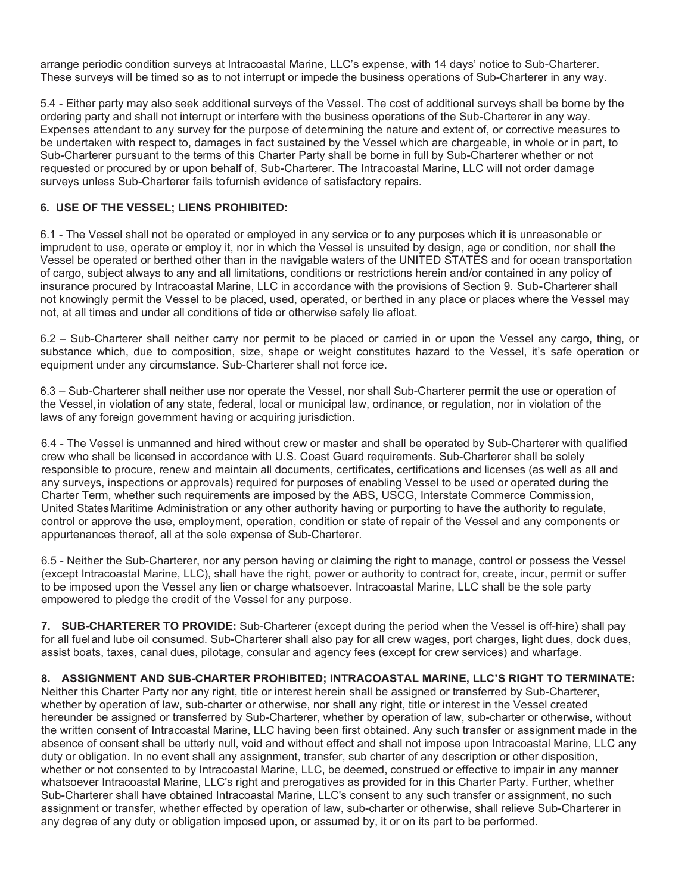arrange periodic condition surveys at Intracoastal Marine, LLC's expense, with 14 days' notice to Sub-Charterer. These surveys will be timed so as to not interrupt or impede the business operations of Sub-Charterer in any way.

5.4 - Either party may also seek additional surveys of the Vessel. The cost of additional surveys shall be borne by the ordering party and shall not interrupt or interfere with the business operations of the Sub-Charterer in any way. Expenses attendant to any survey for the purpose of determining the nature and extent of, or corrective measures to be undertaken with respect to, damages in fact sustained by the Vessel which are chargeable, in whole or in part, to Sub-Charterer pursuant to the terms of this Charter Party shall be borne in full by Sub-Charterer whether or not requested or procured by or upon behalf of, Sub-Charterer. The Intracoastal Marine, LLC will not order damage surveys unless Sub-Charterer fails to furnish evidence of satisfactory repairs.

# **6. USE OF THE VESSEL; LIENS PROHIBITED:**

6.1 - The Vessel shall not be operated or employed in any service or to any purposes which it is unreasonable or imprudent to use, operate or employ it, nor in which the Vessel is unsuited by design, age or condition, nor shall the Vessel be operated or berthed other than in the navigable waters of the UNITED STATES and for ocean transportation of cargo, subject always to any and all limitations, conditions or restrictions herein and/or contained in any policy of insurance procured by Intracoastal Marine, LLC in accordance with the provisions of Section 9. Sub-Charterer shall not knowingly permit the Vessel to be placed, used, operated, or berthed in any place or places where the Vessel may not, at all times and under all conditions of tide or otherwise safely lie afloat.

6.2 – Sub-Charterer shall neither carry nor permit to be placed or carried in or upon the Vessel any cargo, thing, or substance which, due to composition, size, shape or weight constitutes hazard to the Vessel, it's safe operation or equipment under any circumstance. Sub-Charterer shall not force ice.

6.3 – Sub-Charterer shall neither use nor operate the Vessel, nor shall Sub-Charterer permit the use or operation of the Vessel, in violation of any state, federal, local or municipal law, ordinance, or regulation, nor in violation of the laws of any foreign government having or acquiring jurisdiction.

6.4 - The Vessel is unmanned and hired without crew or master and shall be operated by Sub-Charterer with qualified crew who shall be licensed in accordance with U.S. Coast Guard requirements. Sub-Charterer shall be solely responsible to procure, renew and maintain all documents, certificates, certifications and licenses (as well as all and any surveys, inspections or approvals) required for purposes of enabling Vessel to be used or operated during the Charter Term, whether such requirements are imposed by the ABS, USCG, Interstate Commerce Commission, United States Maritime Administration or any other authority having or purporting to have the authority to regulate, control or approve the use, employment, operation, condition or state of repair of the Vessel and any components or appurtenances thereof, all at the sole expense of Sub-Charterer.

6.5 - Neither the Sub-Charterer, nor any person having or claiming the right to manage, control or possess the Vessel (except Intracoastal Marine, LLC), shall have the right, power or authority to contract for, create, incur, permit or suffer to be imposed upon the Vessel any lien or charge whatsoever. Intracoastal Marine, LLC shall be the sole party empowered to pledge the credit of the Vessel for any purpose.

**7. SUB-CHARTERER TO PROVIDE:** Sub-Charterer (except during the period when the Vessel is off-hire) shall pay for all fuel and lube oil consumed. Sub-Charterer shall also pay for all crew wages, port charges, light dues, dock dues, assist boats, taxes, canal dues, pilotage, consular and agency fees (except for crew services) and wharfage.

# **8. ASSIGNMENT AND SUB-CHARTER PROHIBITED; INTRACOASTAL MARINE, LLC'S RIGHT TO TERMINATE:**

Neither this Charter Party nor any right, title or interest herein shall be assigned or transferred by Sub-Charterer, whether by operation of law, sub-charter or otherwise, nor shall any right, title or interest in the Vessel created hereunder be assigned or transferred by Sub-Charterer, whether by operation of law, sub-charter or otherwise, without the written consent of Intracoastal Marine, LLC having been first obtained. Any such transfer or assignment made in the absence of consent shall be utterly null, void and without effect and shall not impose upon Intracoastal Marine, LLC any duty or obligation. In no event shall any assignment, transfer, sub charter of any description or other disposition, whether or not consented to by Intracoastal Marine, LLC, be deemed, construed or effective to impair in any manner whatsoever Intracoastal Marine, LLC's right and prerogatives as provided for in this Charter Party. Further, whether Sub-Charterer shall have obtained Intracoastal Marine, LLC's consent to any such transfer or assignment, no such assignment or transfer, whether effected by operation of law, sub-charter or otherwise, shall relieve Sub-Charterer in any degree of any duty or obligation imposed upon, or assumed by, it or on its part to be performed.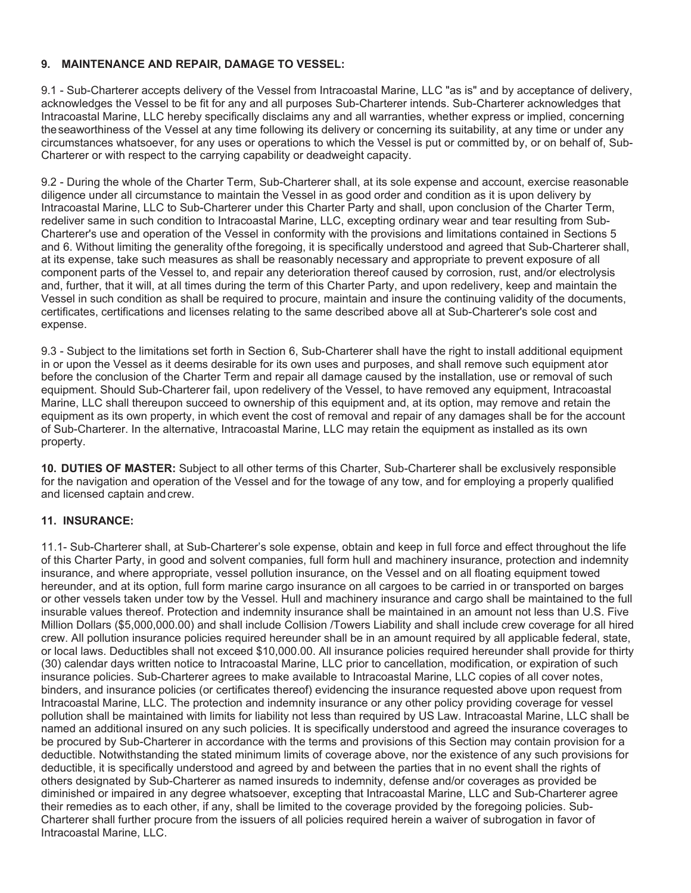# **9. MAINTENANCE AND REPAIR, DAMAGE TO VESSEL:**

9.1 - Sub-Charterer accepts delivery of the Vessel from Intracoastal Marine, LLC "as is" and by acceptance of delivery, acknowledges the Vessel to be fit for any and all purposes Sub-Charterer intends. Sub-Charterer acknowledges that Intracoastal Marine, LLC hereby specifically disclaims any and all warranties, whether express or implied, concerning the seaworthiness of the Vessel at any time following its delivery or concerning its suitability, at any time or under any circumstances whatsoever, for any uses or operations to which the Vessel is put or committed by, or on behalf of, Sub-Charterer or with respect to the carrying capability or deadweight capacity.

9.2 - During the whole of the Charter Term, Sub-Charterer shall, at its sole expense and account, exercise reasonable diligence under all circumstance to maintain the Vessel in as good order and condition as it is upon delivery by Intracoastal Marine, LLC to Sub-Charterer under this Charter Party and shall, upon conclusion of the Charter Term, redeliver same in such condition to Intracoastal Marine, LLC, excepting ordinary wear and tear resulting from Sub-Charterer's use and operation of the Vessel in conformity with the provisions and limitations contained in Sections 5 and 6. Without limiting the generality of the foregoing, it is specifically understood and agreed that Sub-Charterer shall, at its expense, take such measures as shall be reasonably necessary and appropriate to prevent exposure of all component parts of the Vessel to, and repair any deterioration thereof caused by corrosion, rust, and/or electrolysis and, further, that it will, at all times during the term of this Charter Party, and upon redelivery, keep and maintain the Vessel in such condition as shall be required to procure, maintain and insure the continuing validity of the documents, certificates, certifications and licenses relating to the same described above all at Sub-Charterer's sole cost and expense.

9.3 - Subject to the limitations set forth in Section 6, Sub-Charterer shall have the right to install additional equipment in or upon the Vessel as it deems desirable for its own uses and purposes, and shall remove such equipment ator before the conclusion of the Charter Term and repair all damage caused by the installation, use or removal of such equipment. Should Sub-Charterer fail, upon redelivery of the Vessel, to have removed any equipment, Intracoastal Marine, LLC shall thereupon succeed to ownership of this equipment and, at its option, may remove and retain the equipment as its own property, in which event the cost of removal and repair of any damages shall be for the account of Sub-Charterer. In the alternative, Intracoastal Marine, LLC may retain the equipment as installed as its own property.

**10. DUTIES OF MASTER:** Subject to all other terms of this Charter, Sub-Charterer shall be exclusively responsible for the navigation and operation of the Vessel and for the towage of any tow, and for employing a properly qualified and licensed captain and crew.

# **11. INSURANCE:**

11.1- Sub-Charterer shall, at Sub-Charterer's sole expense, obtain and keep in full force and effect throughout the life of this Charter Party, in good and solvent companies, full form hull and machinery insurance, protection and indemnity insurance, and where appropriate, vessel pollution insurance, on the Vessel and on all floating equipment towed hereunder, and at its option, full form marine cargo insurance on all cargoes to be carried in or transported on barges or other vessels taken under tow by the Vessel. Hull and machinery insurance and cargo shall be maintained to the full insurable values thereof. Protection and indemnity insurance shall be maintained in an amount not less than U.S. Five Million Dollars (\$5,000,000.00) and shall include Collision /Towers Liability and shall include crew coverage for all hired crew. All pollution insurance policies required hereunder shall be in an amount required by all applicable federal, state, or local laws. Deductibles shall not exceed \$10,000.00. All insurance policies required hereunder shall provide for thirty (30) calendar days written notice to Intracoastal Marine, LLC prior to cancellation, modification, or expiration of such insurance policies. Sub-Charterer agrees to make available to Intracoastal Marine, LLC copies of all cover notes, binders, and insurance policies (or certificates thereof) evidencing the insurance requested above upon request from Intracoastal Marine, LLC. The protection and indemnity insurance or any other policy providing coverage for vessel pollution shall be maintained with limits for liability not less than required by US Law. Intracoastal Marine, LLC shall be named an additional insured on any such policies. It is specifically understood and agreed the insurance coverages to be procured by Sub-Charterer in accordance with the terms and provisions of this Section may contain provision for a deductible. Notwithstanding the stated minimum limits of coverage above, nor the existence of any such provisions for deductible, it is specifically understood and agreed by and between the parties that in no event shall the rights of others designated by Sub-Charterer as named insureds to indemnity, defense and/or coverages as provided be diminished or impaired in any degree whatsoever, excepting that Intracoastal Marine, LLC and Sub-Charterer agree their remedies as to each other, if any, shall be limited to the coverage provided by the foregoing policies. Sub-Charterer shall further procure from the issuers of all policies required herein a waiver of subrogation in favor of Intracoastal Marine, LLC.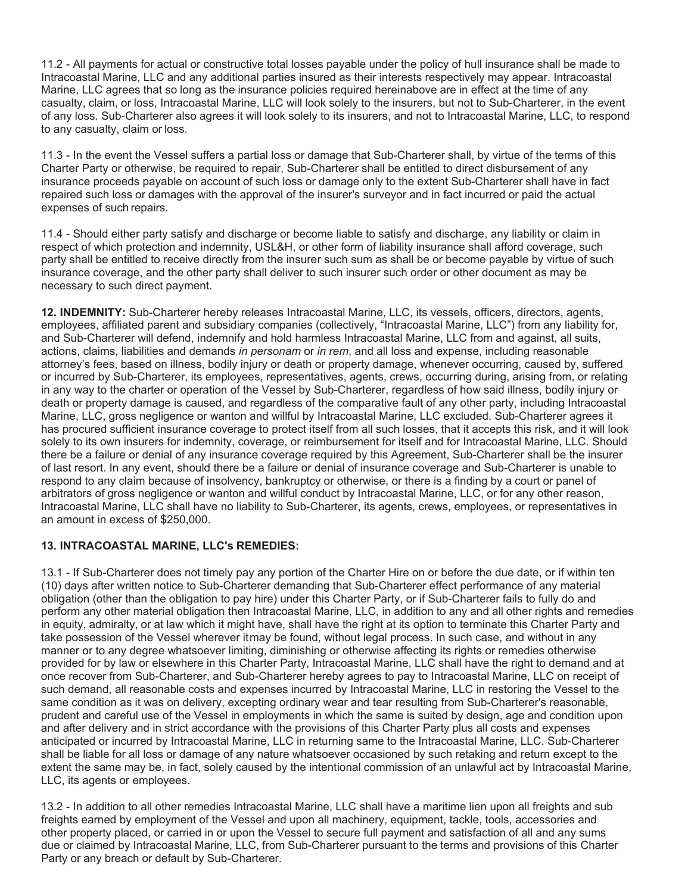11.2 - All payments for actual or constructive total losses payable under the policy of hull insurance shall be made to Intracoastal Marine, LLC and any additional parties insured as their interests respectively may appear. Intracoastal Marine, LLC agrees that so long as the insurance policies required hereinabove are in effect at the time of any casualty, claim, or loss, Intracoastal Marine, LLC will look solely to the insurers, but not to Sub-Charterer, in the event of any loss. Sub-Charterer also agrees it will look solely to its insurers, and not to Intracoastal Marine, LLC, to respond to any casualty, claim or loss.

11.3 - In the event the Vessel suffers a partial loss or damage that Sub-Charterer shall, by virtue of the terms of this Charter Party or otherwise, be required to repair, Sub-Charterer shall be entitled to direct disbursement of any insurance proceeds payable on account of such loss or damage only to the extent Sub-Charterer shall have in fact repaired such loss or damages with the approval of the insurer's surveyor and in fact incurred or paid the actual expenses of such repairs.

11.4 - Should either party satisfy and discharge or become liable to satisfy and discharge, any liability or claim in respect of which protection and indemnity, USL&H, or other form of liability insurance shall afford coverage, such party shall be entitled to receive directly from the insurer such sum as shall be or become payable by virtue of such insurance coverage, and the other party shall deliver to such insurer such order or other document as may be necessary to such direct payment.

**12. INDEMNITY:** Sub-Charterer hereby releases Intracoastal Marine, LLC, its vessels, officers, directors, agents, employees, affiliated parent and subsidiary companies (collectively, "Intracoastal Marine, LLC") from any liability for, and Sub-Charterer will defend, indemnify and hold harmless Intracoastal Marine, LLC from and against, all suits, actions, claims, liabilities and demands *in personam* or *in rem*, and all loss and expense, including reasonable attorney's fees, based on illness, bodily injury or death or property damage, whenever occurring, caused by, suffered or incurred by Sub-Charterer, its employees, representatives, agents, crews, occurring during, arising from, or relating in any way to the charter or operation of the Vessel by Sub-Charterer, regardless of how said illness, bodily injury or death or property damage is caused, and regardless of the comparative fault of any other party, including Intracoastal Marine, LLC, gross negligence or wanton and willful by Intracoastal Marine, LLC excluded. Sub-Charterer agrees it has procured sufficient insurance coverage to protect itself from all such losses, that it accepts this risk, and it will look solely to its own insurers for indemnity, coverage, or reimbursement for itself and for Intracoastal Marine, LLC. Should there be a failure or denial of any insurance coverage required by this Agreement, Sub-Charterer shall be the insurer of last resort. In any event, should there be a failure or denial of insurance coverage and Sub-Charterer is unable to respond to any claim because of insolvency, bankruptcy or otherwise, or there is a finding by a court or panel of arbitrators of gross negligence or wanton and willful conduct by Intracoastal Marine, LLC, or for any other reason, Intracoastal Marine, LLC shall have no liability to Sub-Charterer, its agents, crews, employees, or representatives in an amount in excess of \$250,000.

# **13. INTRACOASTAL MARINE, LLC's REMEDIES:**

13.1 - If Sub-Charterer does not timely pay any portion of the Charter Hire on or before the due date, or if within ten (10) days after written notice to Sub-Charterer demanding that Sub-Charterer effect performance of any material obligation (other than the obligation to pay hire) under this Charter Party, or if Sub-Charterer fails to fully do and perform any other material obligation then Intracoastal Marine, LLC, in addition to any and all other rights and remedies in equity, admiralty, or at law which it might have, shall have the right at its option to terminate this Charter Party and take possession of the Vessel wherever itmay be found, without legal process. In such case, and without in any manner or to any degree whatsoever limiting, diminishing or otherwise affecting its rights or remedies otherwise provided for by law or elsewhere in this Charter Party, Intracoastal Marine, LLC shall have the right to demand and at once recover from Sub-Charterer, and Sub-Charterer hereby agrees to pay to Intracoastal Marine, LLC on receipt of such demand, all reasonable costs and expenses incurred by Intracoastal Marine, LLC in restoring the Vessel to the same condition as it was on delivery, excepting ordinary wear and tear resulting from Sub-Charterer's reasonable, prudent and careful use of the Vessel in employments in which the same is suited by design, age and condition upon and after delivery and in strict accordance with the provisions of this Charter Party plus all costs and expenses anticipated or incurred by Intracoastal Marine, LLC in returning same to the Intracoastal Marine, LLC. Sub-Charterer shall be liable for all loss or damage of any nature whatsoever occasioned by such retaking and return except to the extent the same may be, in fact, solely caused by the intentional commission of an unlawful act by Intracoastal Marine, LLC, its agents or employees.

13.2 - In addition to all other remedies Intracoastal Marine, LLC shall have a maritime lien upon all freights and sub freights earned by employment of the Vessel and upon all machinery, equipment, tackle, tools, accessories and other property placed, or carried in or upon the Vessel to secure full payment and satisfaction of all and any sums due or claimed by Intracoastal Marine, LLC, from Sub-Charterer pursuant to the terms and provisions of this Charter Party or any breach or default by Sub-Charterer.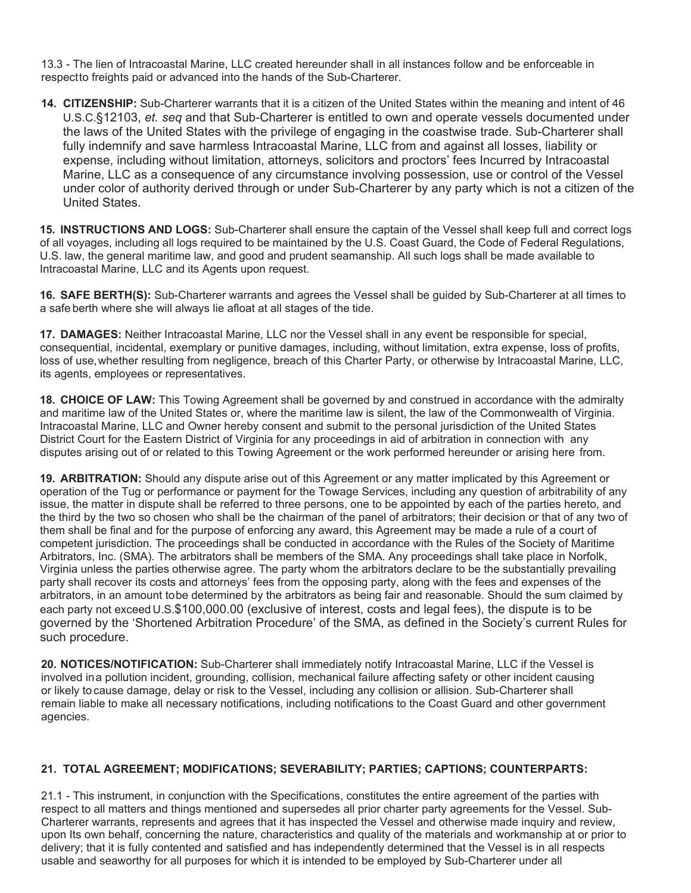13.3 - The lien of Intracoastal Marine, LLC created hereunder shall in all instances follow and be enforceable in respectto freights paid or advanced into the hands of the Sub-Charterer.

**14. CITIZENSHIP:** Sub-Charterer warrants that it is a citizen of the United States within the meaning and intent of 46 U.S.C.§12103, *et. seq* and that Sub-Charterer is entitled to own and operate vessels documented under the laws of the United States with the privilege of engaging in the coastwise trade. Sub-Charterer shall fully indemnify and save harmless Intracoastal Marine, LLC from and against all losses, liability or expense, including without limitation, attorneys, solicitors and proctors' fees Incurred by Intracoastal Marine, LLC as a consequence of any circumstance involving possession, use or control of the Vessel under color of authority derived through or under Sub-Charterer by any party which is not a citizen of the United States.

**15. INSTRUCTIONS AND LOGS:** Sub-Charterer shall ensure the captain of the Vessel shall keep full and correct logs of all voyages, including all logs required to be maintained by the U.S. Coast Guard, the Code of Federal Regulations, U.S. law, the general maritime law, and good and prudent seamanship. All such logs shall be made available to Intracoastal Marine, LLC and its Agents upon request.

**16. SAFE BERTH(S):** Sub-Charterer warrants and agrees the Vessel shall be guided by Sub-Charterer at all times to a safe berth where she will always lie afloat at all stages of the tide.

**17. DAMAGES:** Neither Intracoastal Marine, LLC nor the Vessel shall in any event be responsible for special, consequential, incidental, exemplary or punitive damages, including, without limitation, extra expense, loss of profits, loss of use, whether resulting from negligence, breach of this Charter Party, or otherwise by Intracoastal Marine, LLC, its agents, employees or representatives.

**18. CHOICE OF LAW:** This Towing Agreement shall be governed by and construed in accordance with the admiralty and maritime law of the United States or, where the maritime law is silent, the law of the Commonwealth of Virginia. Intracoastal Marine, LLC and Owner hereby consent and submit to the personal jurisdiction of the United States District Court for the Eastern District of Virginia for any proceedings in aid of arbitration in connection with any disputes arising out of or related to this Towing Agreement or the work performed hereunder or arising here from.

**19. ARBITRATION:** Should any dispute arise out of this Agreement or any matter implicated by this Agreement or operation of the Tug or performance or payment for the Towage Services, including any question of arbitrability of any issue, the matter in dispute shall be referred to three persons, one to be appointed by each of the parties hereto, and the third by the two so chosen who shall be the chairman of the panel of arbitrators; their decision or that of any two of them shall be final and for the purpose of enforcing any award, this Agreement may be made a rule of a court of competent jurisdiction. The proceedings shall be conducted in accordance with the Rules of the Society of Maritime Arbitrators, Inc. (SMA). The arbitrators shall be members of the SMA. Any proceedings shall take place in Norfolk, Virginia unless the parties otherwise agree. The party whom the arbitrators declare to be the substantially prevailing party shall recover its costs and attorneys' fees from the opposing party, along with the fees and expenses of the arbitrators, in an amount to be determined by the arbitrators as being fair and reasonable. Should the sum claimed by each party not exceed U.S.\$100,000.00 (exclusive of interest, costs and legal fees), the dispute is to be governed by the 'Shortened Arbitration Procedure' of the SMA, as defined in the Society's current Rules for such procedure.

**20. NOTICES/NOTIFICATION:** Sub-Charterer shall immediately notify Intracoastal Marine, LLC if the Vessel is involved in a pollution incident, grounding, collision, mechanical failure affecting safety or other incident causing or likely to cause damage, delay or risk to the Vessel, including any collision or allision. Sub-Charterer shall remain liable to make all necessary notifications, including notifications to the Coast Guard and other government agencies.

# **21. TOTAL AGREEMENT; MODIFICATIONS; SEVERABILITY; PARTIES; CAPTIONS; COUNTERPARTS:**

21.1 - This instrument, in conjunction with the Specifications, constitutes the entire agreement of the parties with respect to all matters and things mentioned and supersedes all prior charter party agreements for the Vessel. Sub-Charterer warrants, represents and agrees that it has inspected the Vessel and otherwise made inquiry and review, upon Its own behalf, concerning the nature, characteristics and quality of the materials and workmanship at or prior to delivery; that it is fully contented and satisfied and has independently determined that the Vessel is in all respects usable and seaworthy for all purposes for which it is intended to be employed by Sub-Charterer under all